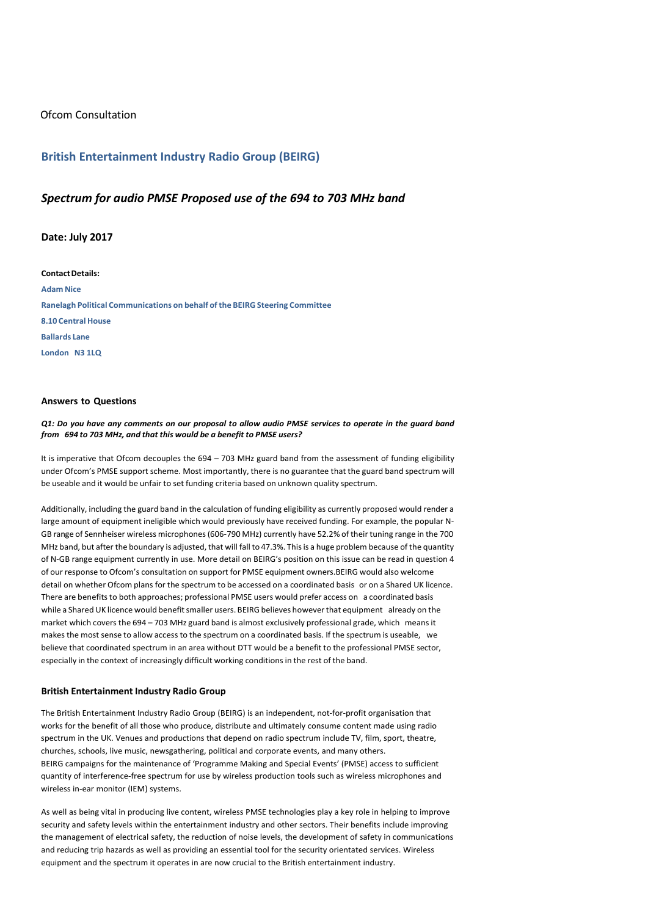# Ofcom Consultation

## **British Entertainment Industry Radio Group (BEIRG)**

# *Spectrum for audio PMSE Proposed use of the 694 to 703 MHz band*

### **Date: July 2017**

**ContactDetails: Adam Nice Ranelagh Political Communications on behalf of the BEIRG Steering Committee 8.10 Central House Ballards Lane London N3 1LQ**

#### **Answers to Questions**

Q1: Do you have any comments on our proposal to allow audio PMSE services to operate in the guard band *from 694 to 703 MHz, and that this would be a benefit to PMSE users?*

It is imperative that Ofcom decouples the 694 – 703 MHz guard band from the assessment of funding eligibility under Ofcom's PMSE support scheme. Most importantly, there is no guarantee that the guard band spectrum will be useable and it would be unfair to set funding criteria based on unknown quality spectrum.

<span id="page-0-0"></span>Additionally, including the guard band in the calculation of funding eligibility as currently proposed would render a large amount of equipment ineligible which would previously have received funding. For example, the popular N-GB range of Sennheiser wireless microphones(606-790 MHz) currently have 52.2% of their tuning range in the 700 MHz band, but after the boundary is adjusted, that will fall to 47.3%. Thisis a huge problem because of the quantity of N-GB range equipment currently in use. More detail on BEIRG's position on this issue can be read in question 4 of our response to Ofcom's consultation on support for PMSE equipment owners.BEIRG would also welcome detail on whether Ofcom plans for the spectrum to be accessed on a coordinated basis or on a Shared UK licence. There are benefits to both approaches; professional PMSE users would prefer access on a coordinated basis while a Shared UK licence would benefit smaller users. BEIRG believes however that equipment already on the market which covers the 694 – 703 MHz guard band is almost exclusively professional grade, which meansit makes the most sense to allow access to the spectrum on a coordinated basis. If the spectrum is useable, we believe that coordinated spectrum in an area without DTT would be a benefit to the professional PMSE sector, especially in the context of increasingly difficult working conditions in the rest of the band.

#### **British Entertainment Industry Radio Group**

The British Entertainment Industry Radio Group (BEIRG) is an independent, not-for-profit organisation that works for the benefit of all those who produce, distribute and ultimately consume content made using radio spectrum in the UK. Venues and productions that depend on radio spectrum include TV, film, sport, theatre, churches, schools, live music, newsgathering, political and corporate events, and many others. BEIRG campaigns for the maintenance of 'Programme Making and Special Events' (PMSE) access to sufficient quantity of interference-free spectrum for use by wireless production tools such as wireless microphones and wireless in-ear monitor (IEM) systems.

As well as being vital in producing live content, wireless PMSE technologies play a key role in helping to improve security and safety levels within the entertainment industry and other sectors. Their benefits include improving the management of electrical safety, the reduction of noise levels, the development of safety in communications and reducing trip hazards as well as providing an essential tool for the security orientated services. Wireless equipment and the spectrum it operates in are now crucial to the British entertainment industry.